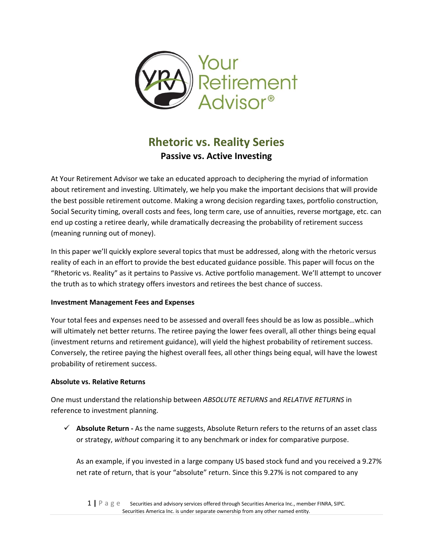

# **Rhetoric vs. Reality Series Passive vs. Active Investing**

At Your Retirement Advisor we take an educated approach to deciphering the myriad of information about retirement and investing. Ultimately, we help you make the important decisions that will provide the best possible retirement outcome. Making a wrong decision regarding taxes, portfolio construction, Social Security timing, overall costs and fees, long term care, use of annuities, reverse mortgage, etc. can end up costing a retiree dearly, while dramatically decreasing the probability of retirement success (meaning running out of money).

In this paper we'll quickly explore several topics that must be addressed, along with the rhetoric versus reality of each in an effort to provide the best educated guidance possible. This paper will focus on the "Rhetoric vs. Reality" as it pertains to Passive vs. Active portfolio management. We'll attempt to uncover the truth as to which strategy offers investors and retirees the best chance of success.

## **Investment Management Fees and Expenses**

Your total fees and expenses need to be assessed and overall fees should be as low as possible…which will ultimately net better returns. The retiree paying the lower fees overall, all other things being equal (investment returns and retirement guidance), will yield the highest probability of retirement success. Conversely, the retiree paying the highest overall fees, all other things being equal, will have the lowest probability of retirement success.

#### **Absolute vs. Relative Returns**

One must understand the relationship between *ABSOLUTE RETURNS* and *RELATIVE RETURNS* in reference to investment planning.

✓ **Absolute Return -** As the name suggests, Absolute Return refers to the returns of an asset class or strategy, *without* comparing it to any benchmark or index for comparative purpose.

As an example, if you invested in a large company US based stock fund and you received a 9.27% net rate of return, that is your "absolute" return. Since this 9.27% is not compared to any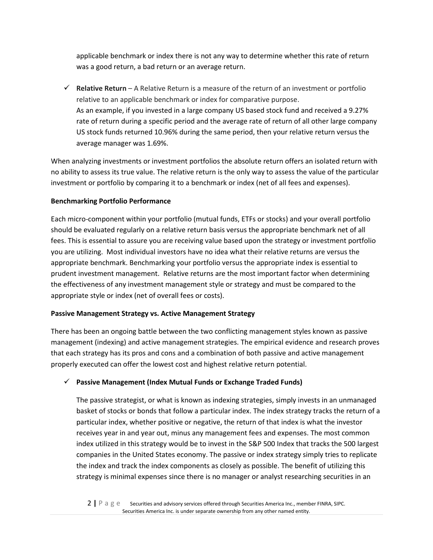applicable benchmark or index there is not any way to determine whether this rate of return was a good return, a bad return or an average return.

✓ **Relative Return** – A Relative Return is a measure of the return of an investment or portfolio relative to an applicable benchmark or index for comparative purpose. As an example, if you invested in a large company US based stock fund and received a 9.27% rate of return during a specific period and the average rate of return of all other large company US stock funds returned 10.96% during the same period, then your relative return versus the average manager was 1.69%.

When analyzing investments or investment portfolios the absolute return offers an isolated return with no ability to assess its true value. The relative return is the only way to assess the value of the particular investment or portfolio by comparing it to a benchmark or index (net of all fees and expenses).

#### **Benchmarking Portfolio Performance**

Each micro-component within your portfolio (mutual funds, ETFs or stocks) and your overall portfolio should be evaluated regularly on a relative return basis versus the appropriate benchmark net of all fees. This is essential to assure you are receiving value based upon the strategy or investment portfolio you are utilizing. Most individual investors have no idea what their relative returns are versus the appropriate benchmark. Benchmarking your portfolio versus the appropriate index is essential to prudent investment management. Relative returns are the most important factor when determining the effectiveness of any investment management style or strategy and must be compared to the appropriate style or index (net of overall fees or costs).

## **Passive Management Strategy vs. Active Management Strategy**

There has been an ongoing battle between the two conflicting management styles known as passive management (indexing) and active management strategies. The empirical evidence and research proves that each strategy has its pros and cons and a combination of both passive and active management properly executed can offer the lowest cost and highest relative return potential.

## ✓ **Passive Management (Index Mutual Funds or Exchange Traded Funds)**

The passive strategist, or what is known as indexing strategies, simply invests in an unmanaged basket of stocks or bonds that follow a particular index. The index strategy tracks the return of a particular index, whether positive or negative, the return of that index is what the investor receives year in and year out, minus any management fees and expenses. The most common index utilized in this strategy would be to invest in the S&P 500 Index that tracks the 500 largest companies in the United States economy. The passive or index strategy simply tries to replicate the index and track the index components as closely as possible. The benefit of utilizing this strategy is minimal expenses since there is no manager or analyst researching securities in an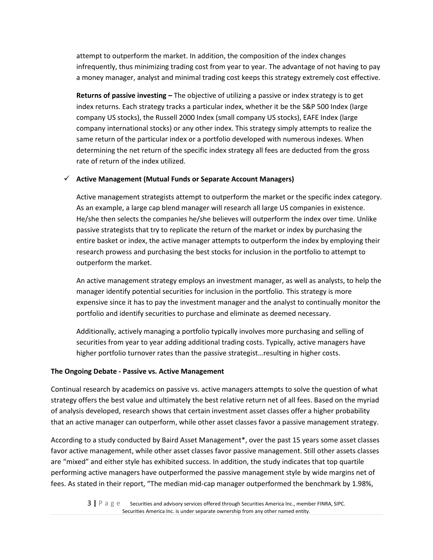attempt to outperform the market. In addition, the composition of the index changes infrequently, thus minimizing trading cost from year to year. The advantage of not having to pay a money manager, analyst and minimal trading cost keeps this strategy extremely cost effective.

**Returns of passive investing –** The objective of utilizing a passive or index strategy is to get index returns. Each strategy tracks a particular index, whether it be the S&P 500 Index (large company US stocks), the Russell 2000 Index (small company US stocks), EAFE Index (large company international stocks) or any other index. This strategy simply attempts to realize the same return of the particular index or a portfolio developed with numerous indexes. When determining the net return of the specific index strategy all fees are deducted from the gross rate of return of the index utilized.

#### ✓ **Active Management (Mutual Funds or Separate Account Managers)**

Active management strategists attempt to outperform the market or the specific index category. As an example, a large cap blend manager will research all large US companies in existence. He/she then selects the companies he/she believes will outperform the index over time. Unlike passive strategists that try to replicate the return of the market or index by purchasing the entire basket or index, the active manager attempts to outperform the index by employing their research prowess and purchasing the best stocks for inclusion in the portfolio to attempt to outperform the market.

An active management strategy employs an investment manager, as well as analysts, to help the manager identify potential securities for inclusion in the portfolio. This strategy is more expensive since it has to pay the investment manager and the analyst to continually monitor the portfolio and identify securities to purchase and eliminate as deemed necessary.

Additionally, actively managing a portfolio typically involves more purchasing and selling of securities from year to year adding additional trading costs. Typically, active managers have higher portfolio turnover rates than the passive strategist…resulting in higher costs.

#### **The Ongoing Debate - Passive vs. Active Management**

Continual research by academics on passive vs. active managers attempts to solve the question of what strategy offers the best value and ultimately the best relative return net of all fees. Based on the myriad of analysis developed, research shows that certain investment asset classes offer a higher probability that an active manager can outperform, while other asset classes favor a passive management strategy.

According to a study conducted by Baird Asset Management\*, over the past 15 years some asset classes favor active management, while other asset classes favor passive management. Still other assets classes are "mixed" and either style has exhibited success. In addition, the study indicates that top quartile performing active managers have outperformed the passive management style by wide margins net of fees. As stated in their report, "The median mid-cap manager outperformed the benchmark by 1.98%,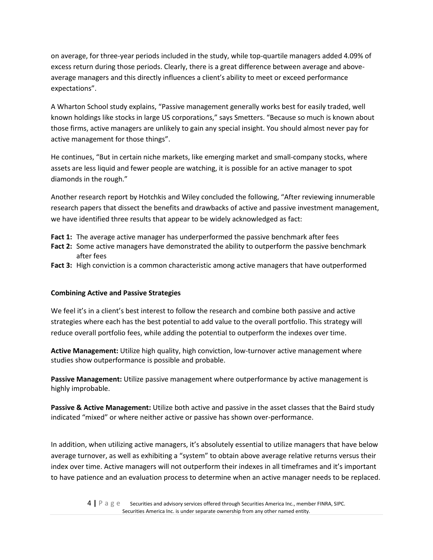on average, for three-year periods included in the study, while top-quartile managers added 4.09% of excess return during those periods. Clearly, there is a great difference between average and aboveaverage managers and this directly influences a client's ability to meet or exceed performance expectations".

A Wharton School study explains, "Passive management generally works best for easily traded, well known holdings like stocks in large US corporations," says Smetters. "Because so much is known about those firms, active managers are unlikely to gain any special insight. You should almost never pay for active management for those things".

He continues, "But in certain niche markets, like emerging market and small-company stocks, where assets are less liquid and fewer people are watching, it is possible for an active manager to spot diamonds in the rough."

Another research report by Hotchkis and Wiley concluded the following, "After reviewing innumerable research papers that dissect the benefits and drawbacks of active and passive investment management, we have identified three results that appear to be widely acknowledged as fact:

- **Fact 1:** The average active manager has underperformed the passive benchmark after fees
- **Fact 2:** Some active managers have demonstrated the ability to outperform the passive benchmark after fees
- **Fact 3:** High conviction is a common characteristic among active managers that have outperformed

#### **Combining Active and Passive Strategies**

We feel it's in a client's best interest to follow the research and combine both passive and active strategies where each has the best potential to add value to the overall portfolio. This strategy will reduce overall portfolio fees, while adding the potential to outperform the indexes over time.

**Active Management:** Utilize high quality, high conviction, low-turnover active management where studies show outperformance is possible and probable.

**Passive Management:** Utilize passive management where outperformance by active management is highly improbable.

**Passive & Active Management:** Utilize both active and passive in the asset classes that the Baird study indicated "mixed" or where neither active or passive has shown over-performance.

In addition, when utilizing active managers, it's absolutely essential to utilize managers that have below average turnover, as well as exhibiting a "system" to obtain above average relative returns versus their index over time. Active managers will not outperform their indexes in all timeframes and it's important to have patience and an evaluation process to determine when an active manager needs to be replaced.